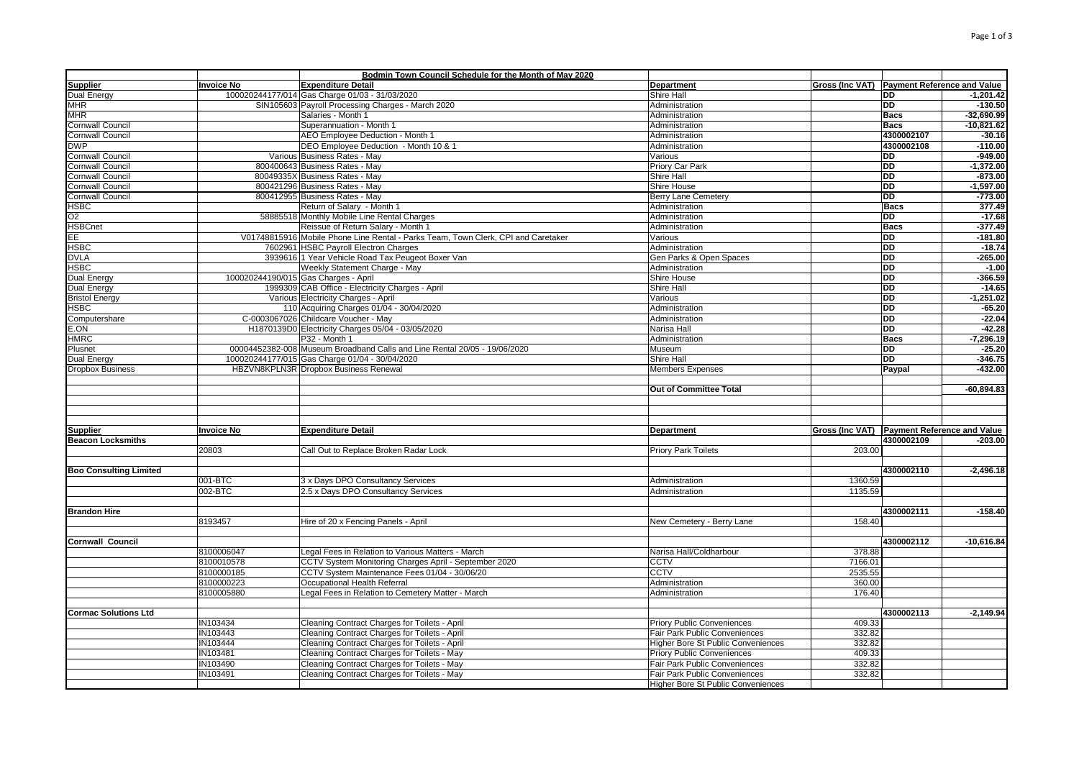|                                                                                                                                     |            | Bodmin Town Council Schedule for the Month of May 2020                                     |                                    |                                             |                 |                                       |
|-------------------------------------------------------------------------------------------------------------------------------------|------------|--------------------------------------------------------------------------------------------|------------------------------------|---------------------------------------------|-----------------|---------------------------------------|
| <b>Supplier</b>                                                                                                                     | Invoice No | <b>Expenditure Detail</b>                                                                  | Department                         | Gross (Inc VAT) Payment Reference and Value |                 |                                       |
| Dual Energy                                                                                                                         |            | 100020244177/014 Gas Charge 01/03 - 31/03/2020                                             | Shire Hall                         |                                             | <b>DD</b>       | $-1,201.42$                           |
| <b>MHR</b>                                                                                                                          |            | SIN105603 Payroll Processing Charges - March 2020                                          | Administration                     |                                             | <b>DD</b>       | $-130.50$                             |
| <b>MHR</b>                                                                                                                          |            | Salaries - Month 1                                                                         | Administration                     |                                             | <b>Bacs</b>     | $-32,690.99$                          |
| Cornwall Council                                                                                                                    |            | Superannuation - Month 1                                                                   | Administration                     |                                             | <b>Bacs</b>     | $-10,821.62$                          |
| Cornwall Council                                                                                                                    |            | AEO Employee Deduction - Month 1                                                           | Administration                     |                                             | 4300002107      | $-30.16$                              |
| DWP                                                                                                                                 |            | DEO Employee Deduction - Month 10 & 1                                                      | Administration                     |                                             | 4300002108      | $-110.00$                             |
| Cornwall Council                                                                                                                    |            | Various Business Rates - May                                                               | Various                            |                                             | <b>DD</b>       | $-949.00$                             |
| Cornwall Council                                                                                                                    |            | 800400643 Business Rates - May                                                             | Priory Car Park                    |                                             | <b>DD</b>       | $-1,372.00$                           |
| Cornwall Council                                                                                                                    |            | 80049335X Business Rates - May                                                             | <b>Shire Hall</b>                  |                                             | <b>DD</b>       | $-873.00$                             |
| Cornwall Council                                                                                                                    |            | 800421296 Business Rates - May                                                             | Shire House                        |                                             | <b>DD</b>       | $-1,597.00$                           |
| Cornwall Council                                                                                                                    |            | 800412955 Business Rates - May                                                             | <b>Berry Lane Cemetery</b>         |                                             | <b>DD</b>       | $-773.00$                             |
|                                                                                                                                     |            |                                                                                            | Administration                     |                                             | Bacs            | 377.49                                |
| HSBC                                                                                                                                |            | Return of Salary - Month 1                                                                 |                                    |                                             |                 |                                       |
| O2                                                                                                                                  |            | 58885518 Monthly Mobile Line Rental Charges                                                | Administration                     |                                             | <b>DD</b>       | $-17.68$                              |
| <b>HSBCnet</b>                                                                                                                      |            | Reissue of Return Salary - Month 1                                                         | Administration                     |                                             | <b>Bacs</b>     | $-377.49$                             |
| EE                                                                                                                                  |            | V01748815916 Mobile Phone Line Rental - Parks Team, Town Clerk, CPI and Caretaker          | Various                            |                                             | <b>DD</b>       | $-181.80$                             |
| <b>HSBC</b>                                                                                                                         |            | 7602961 HSBC Payroll Electron Charges                                                      | Administration                     |                                             | <b>DD</b>       | $-18.74$                              |
| <b>DVLA</b>                                                                                                                         |            | 3939616 1 Year Vehicle Road Tax Peugeot Boxer Van                                          | Gen Parks & Open Spaces            |                                             | <b>DD</b>       | $-265.00$                             |
| HSBC                                                                                                                                |            | Weekly Statement Charge - May                                                              | Administration                     |                                             | <b>DD</b>       | $-1.00$                               |
| Dual Energy                                                                                                                         |            | 100020244190/015 Gas Charges - April                                                       | <b>Shire House</b>                 |                                             | <b>DD</b>       | $-366.59$                             |
| Dual Energy                                                                                                                         |            | 1999309 CAB Office - Electricity Charges - April                                           | Shire Hall                         |                                             | <b>DD</b>       | $-14.65$                              |
| <b>Bristol Energy</b>                                                                                                               |            | Various Electricity Charges - April                                                        | Various                            |                                             | <b>DD</b>       | $-1,251.02$                           |
| HSBC                                                                                                                                |            | 110 Acquiring Charges 01/04 - 30/04/2020                                                   | Administration                     |                                             | <b>DD</b>       | $-65.20$                              |
| Computershare                                                                                                                       |            | C-0003067026 Childcare Voucher - May                                                       | Administration                     |                                             | <b>DD</b>       | $-22.04$                              |
| E.ON                                                                                                                                |            | H1870139D0 Electricity Charges 05/04 - 03/05/2020                                          | Narisa Hall                        |                                             | <b>DD</b>       | $-42.28$                              |
| <b>HMRC</b>                                                                                                                         |            | P32 - Month 1                                                                              | Administration                     |                                             | <b>Bacs</b>     | $-7.296.19$                           |
|                                                                                                                                     |            |                                                                                            |                                    |                                             | DD              |                                       |
| Plusnet                                                                                                                             |            | 00004452382-008 Museum Broadband Calls and Line Rental 20/05 - 19/06/2020                  | Museum                             |                                             |                 | $-25.20$                              |
| Dual Energy                                                                                                                         |            | 100020244177/015 Gas Charge 01/04 - 30/04/2020                                             | <b>Shire Hall</b>                  |                                             | $\overline{DD}$ | $-346.75$                             |
| Dropbox Business                                                                                                                    |            | HBZVN8KPLN3R Dropbox Business Renewal                                                      | <b>Members Expenses</b>            |                                             | Paypal          | $-432.00$                             |
|                                                                                                                                     |            |                                                                                            | Out of Committee Total             |                                             |                 | $-60,894.83$                          |
|                                                                                                                                     |            |                                                                                            |                                    |                                             |                 |                                       |
|                                                                                                                                     |            |                                                                                            |                                    |                                             |                 |                                       |
| <b>Supplier</b>                                                                                                                     | Invoice No | <b>Expenditure Detail</b>                                                                  | Department                         | Gross (Inc VAT) Payment Reference and Value |                 |                                       |
|                                                                                                                                     |            |                                                                                            |                                    |                                             | 4300002109      |                                       |
|                                                                                                                                     | 20803      | Call Out to Replace Broken Radar Lock                                                      | <b>Priory Park Toilets</b>         | 203.00                                      |                 |                                       |
|                                                                                                                                     |            |                                                                                            |                                    |                                             |                 |                                       |
|                                                                                                                                     |            |                                                                                            |                                    |                                             | 4300002110      |                                       |
|                                                                                                                                     | 001-BTC    | 3 x Days DPO Consultancy Services                                                          | Administration                     | 1360.59                                     |                 |                                       |
|                                                                                                                                     | 002-BTC    | 2.5 x Days DPO Consultancy Services                                                        | Administration                     | 1135.59                                     |                 |                                       |
|                                                                                                                                     |            |                                                                                            |                                    |                                             |                 |                                       |
|                                                                                                                                     |            |                                                                                            |                                    |                                             | 4300002111      |                                       |
|                                                                                                                                     | 8193457    | Hire of 20 x Fencing Panels - April                                                        | New Cemetery - Berry Lane          | 158.40                                      |                 |                                       |
|                                                                                                                                     |            |                                                                                            |                                    |                                             |                 | $-203.00$<br>$-2,496.18$<br>$-158.40$ |
|                                                                                                                                     |            |                                                                                            |                                    |                                             | 4300002112      |                                       |
|                                                                                                                                     |            |                                                                                            |                                    |                                             |                 | $-10,616.84$                          |
|                                                                                                                                     | 8100006047 | Legal Fees in Relation to Various Matters - March                                          | Narisa Hall/Coldharbour            | 378.88                                      |                 |                                       |
|                                                                                                                                     | 8100010578 | CCTV System Monitoring Charges April - September 2020                                      | CCTV                               | 7166.01                                     |                 |                                       |
|                                                                                                                                     | 8100000185 | CCTV System Maintenance Fees 01/04 - 30/06/20                                              | <b>CCTV</b>                        | 2535.55                                     |                 |                                       |
|                                                                                                                                     | 8100000223 | Occupational Health Referral                                                               | Administration                     | 360.00                                      |                 |                                       |
|                                                                                                                                     | 8100005880 | Legal Fees in Relation to Cemetery Matter - March                                          | Administration                     | 176.40                                      |                 |                                       |
|                                                                                                                                     |            |                                                                                            |                                    |                                             |                 |                                       |
|                                                                                                                                     |            |                                                                                            |                                    |                                             | 4300002113      |                                       |
|                                                                                                                                     | IN103434   | Cleaning Contract Charges for Toilets - April                                              | <b>Priory Public Conveniences</b>  | 409.33                                      |                 |                                       |
|                                                                                                                                     | IN103443   | Cleaning Contract Charges for Toilets - April                                              | Fair Park Public Conveniences      | 332.82                                      |                 |                                       |
|                                                                                                                                     | IN103444   | Cleaning Contract Charges for Toilets - April                                              | Higher Bore St Public Conveniences | 332.82                                      |                 |                                       |
|                                                                                                                                     | IN103481   | Cleaning Contract Charges for Toilets - May                                                | <b>Priory Public Conveniences</b>  | 409.33                                      |                 |                                       |
|                                                                                                                                     | IN103490   |                                                                                            | Fair Park Public Conveniences      | 332.82                                      |                 |                                       |
| <b>Beacon Locksmiths</b><br><b>Boo Consulting Limited</b><br><b>Brandon Hire</b><br>Cornwall Council<br><b>Cormac Solutions Ltd</b> | IN103491   | Cleaning Contract Charges for Toilets - May<br>Cleaning Contract Charges for Toilets - May | Fair Park Public Conveniences      | 332.82                                      |                 | $-2,149.94$                           |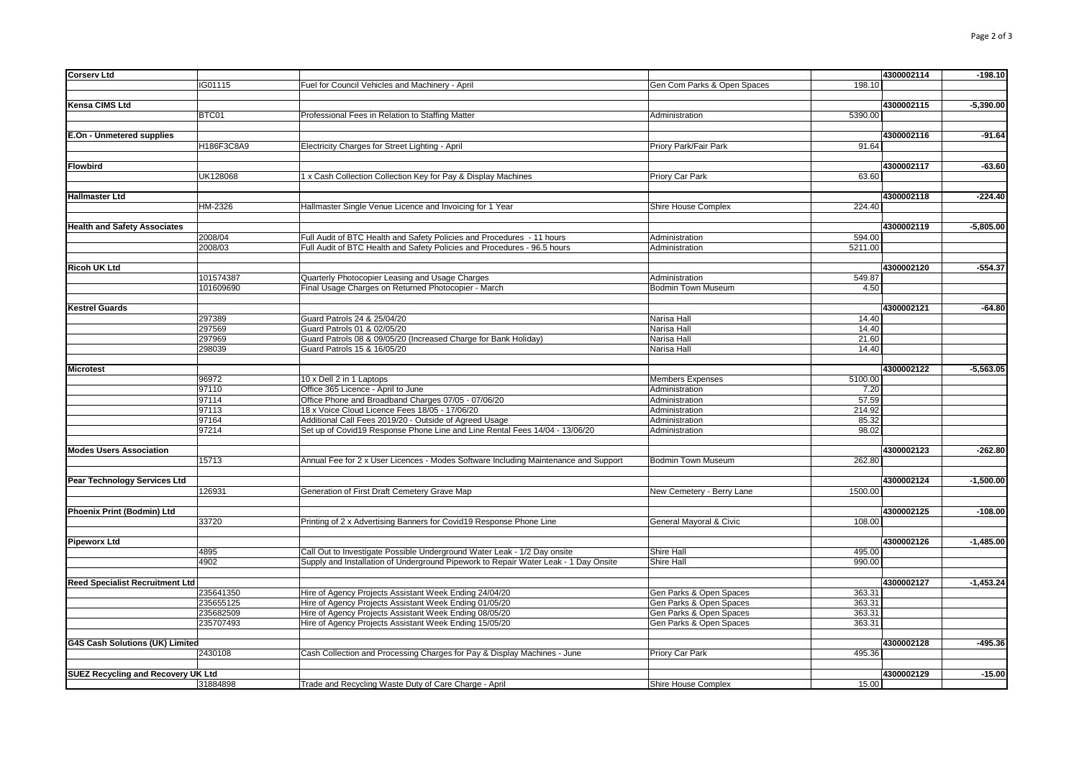| Corserv Ltd                               |                        |                                                                                     |                                             |                | 4300002114 | $-198.10$   |
|-------------------------------------------|------------------------|-------------------------------------------------------------------------------------|---------------------------------------------|----------------|------------|-------------|
|                                           | IG01115                | Fuel for Council Vehicles and Machinery - April                                     | Gen Com Parks & Open Spaces                 | 198.10         |            |             |
|                                           |                        |                                                                                     |                                             |                |            |             |
| Kensa CIMS Ltd                            |                        |                                                                                     |                                             |                | 4300002115 | $-5,390.00$ |
|                                           | BTC01                  | Professional Fees in Relation to Staffing Matter                                    | Administration                              | 5390.00        |            |             |
|                                           |                        |                                                                                     |                                             |                |            |             |
| E.On - Unmetered supplies                 |                        |                                                                                     |                                             |                | 4300002116 | $-91.64$    |
|                                           | H186F3C8A9             | Electricity Charges for Street Lighting - April                                     | Priory Park/Fair Park                       | 91.64          |            |             |
|                                           |                        |                                                                                     |                                             |                |            |             |
| Flowbird                                  |                        |                                                                                     |                                             |                | 4300002117 | $-63.60$    |
|                                           | UK128068               | 1 x Cash Collection Collection Key for Pay & Display Machines                       | Priory Car Park                             | 63.60          |            |             |
|                                           |                        |                                                                                     |                                             |                |            |             |
| Hallmaster Ltd                            | HM-2326                |                                                                                     |                                             | 224.40         | 4300002118 | $-224.40$   |
|                                           |                        | Hallmaster Single Venue Licence and Invoicing for 1 Year                            | Shire House Complex                         |                |            |             |
| <b>Health and Safety Associates</b>       |                        |                                                                                     |                                             |                | 4300002119 | $-5,805.00$ |
|                                           | 2008/04                | Full Audit of BTC Health and Safety Policies and Procedures - 11 hours              | Administration                              | 594.00         |            |             |
|                                           | 2008/03                | Full Audit of BTC Health and Safety Policies and Procedures - 96.5 hours            | Administration                              | 5211.00        |            |             |
|                                           |                        |                                                                                     |                                             |                |            |             |
|                                           |                        |                                                                                     |                                             |                | 4300002120 |             |
| Ricoh UK Ltd                              |                        |                                                                                     |                                             |                |            | $-554.37$   |
|                                           | 101574387<br>101609690 | Quarterly Photocopier Leasing and Usage Charges                                     | Administration<br><b>Bodmin Town Museum</b> | 549.87<br>4.50 |            |             |
|                                           |                        | Final Usage Charges on Returned Photocopier - March                                 |                                             |                |            |             |
| Kestrel Guards                            |                        |                                                                                     |                                             |                | 4300002121 | $-64.80$    |
|                                           | 297389                 | Guard Patrols 24 & 25/04/20                                                         | Narisa Hall                                 | 14.40          |            |             |
|                                           | 297569                 |                                                                                     |                                             |                |            |             |
|                                           |                        | Guard Patrols 01 & 02/05/20                                                         | Narisa Hall                                 | 14.40          |            |             |
|                                           | 297969                 | Guard Patrols 08 & 09/05/20 (Increased Charge for Bank Holiday)                     | Narisa Hall                                 | 21.60          |            |             |
|                                           | 298039                 | Guard Patrols 15 & 16/05/20                                                         | Narisa Hall                                 | 14.40          |            |             |
|                                           |                        |                                                                                     |                                             |                |            |             |
| Microtest                                 |                        |                                                                                     |                                             |                | 4300002122 | $-5,563.05$ |
|                                           | 96972                  | 10 x Dell 2 in 1 Laptops                                                            | <b>Members Expenses</b>                     | 5100.00        |            |             |
|                                           | 97110                  | Office 365 Licence - April to June                                                  | Administration                              | 7.20           |            |             |
|                                           | 97114                  | Office Phone and Broadband Charges 07/05 - 07/06/20                                 | Administration                              | 57.59          |            |             |
|                                           | 97113                  | 18 x Voice Cloud Licence Fees 18/05 - 17/06/20                                      | Administration                              | 214.92         |            |             |
|                                           | 97164                  | Additional Call Fees 2019/20 - Outside of Agreed Usage                              | Administration                              | 85.32          |            |             |
|                                           | 97214                  | Set up of Covid19 Response Phone Line and Line Rental Fees 14/04 - 13/06/20         | Administration                              | 98.02          |            |             |
| <b>Modes Users Association</b>            |                        |                                                                                     |                                             |                | 4300002123 | $-262.80$   |
|                                           | 15713                  | Annual Fee for 2 x User Licences - Modes Software Including Maintenance and Support | <b>Bodmin Town Museum</b>                   | 262.80         |            |             |
|                                           |                        |                                                                                     |                                             |                |            |             |
| Pear Technology Services Ltd              |                        |                                                                                     |                                             |                | 4300002124 | $-1,500.00$ |
|                                           | 126931                 | Generation of First Draft Cemetery Grave Map                                        | New Cemetery - Berry Lane                   | 1500.00        |            |             |
|                                           |                        |                                                                                     |                                             |                |            |             |
| Phoenix Print (Bodmin) Ltd                |                        |                                                                                     |                                             |                | 4300002125 | $-108.00$   |
|                                           | 33720                  | Printing of 2 x Advertising Banners for Covid19 Response Phone Line                 | General Mayoral & Civic                     | 108.00         |            |             |
|                                           |                        |                                                                                     |                                             |                |            |             |
| Pipeworx Ltd                              |                        |                                                                                     |                                             |                | 4300002126 | $-1,485.00$ |
|                                           | 4895                   | Call Out to Investigate Possible Underground Water Leak - 1/2 Day onsite            | Shire Hall                                  | 495.00         |            |             |
|                                           | 4902                   | Supply and Installation of Underground Pipework to Repair Water Leak - 1 Day Onsite | Shire Hall                                  | 990.00         |            |             |
|                                           |                        |                                                                                     |                                             |                |            |             |
| Reed Specialist Recruitment Ltd           |                        |                                                                                     |                                             |                | 4300002127 | $-1,453.24$ |
|                                           | 235641350              | Hire of Agency Projects Assistant Week Ending 24/04/20                              | Gen Parks & Open Spaces                     | 363.31         |            |             |
|                                           | 235655125              | Hire of Agency Projects Assistant Week Ending 01/05/20                              | Gen Parks & Open Spaces                     | 363.31         |            |             |
|                                           | 235682509              | Hire of Agency Projects Assistant Week Ending 08/05/20                              | Gen Parks & Open Spaces                     | 363.31         |            |             |
|                                           | 235707493              | Hire of Agency Projects Assistant Week Ending 15/05/20                              | Gen Parks & Open Spaces                     | 363.31         |            |             |
|                                           |                        |                                                                                     |                                             |                |            |             |
| G4S Cash Solutions (UK) Limited           |                        |                                                                                     |                                             |                | 4300002128 | $-495.36$   |
|                                           | 2430108                | Cash Collection and Processing Charges for Pay & Display Machines - June            | Priory Car Park                             | 495.36         |            |             |
|                                           |                        |                                                                                     |                                             |                |            |             |
| <b>SUEZ Recycling and Recovery UK Ltd</b> |                        |                                                                                     |                                             |                | 4300002129 | $-15.00$    |
|                                           |                        |                                                                                     |                                             |                |            |             |